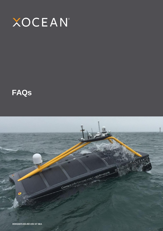

# **FAQs**

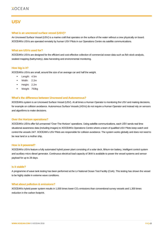# **USV**

### **What is an uncrewed surface vessel (USV)?**

An Uncrewed Surface Vessel (USV) is a marine craft that operates on the surface of the water without a crew physically on board. XOCEAN's USVs are operated remotely by human USV Pilots in our Operations Centre via satellite communications.

### **What are USVs used for?**

XOCEAN's USVs are designed for the efficient and cost-effective collection of commercial ocean data such as fish stock analysis, seabed mapping (bathymetry), data harvesting and environmental monitoring.

### **How big is it?**

XOCEAN's USVs are small, around the size of an average car and half the weight.

- Length: 4.5m
- Width: 2.2m
- Height: 2.2m
- Weight 750kg

### **What's the difference between Uncrewed and Autonomous?**

XOCEAN's system is an Uncrewed Surface Vessel (USV). At all times a Human Operator is monitoring the USV and making decisions, for example on collision avoidance. Autonomous Surface Vessels (ASVs) do not require a Human Operator and instead rely on sensors and algorithms to make decisions.

### **Over the Horizon operations?**

XOCEAN's USVs offer full unmanned 'Over-The-Horizon' operations. Using satellite communications, each USV sends real time situational awareness data (including images) to XOCEAN's Operations Centre where a team of qualified USV Pilots keep watch and control the vessels 24/7. XOCEAN's USV Pilots are responsible for collision avoidance. The system works globally and does not need to be near land or a mother ship.

### **How is it powered?**

XOCEAN's USVs feature a fully automated hybrid power plant consisting of a solar deck, lithium-ion battery, intelligent control system and auxiliary micro diesel generator. Continuous electrical load capacity of 3kW is available to power the vessel systems and sensor payload for up to 28 days.

### **Is it stable?**

A programme of wave tank testing has been performed at the Lir National Ocean Test Facility (Cork). This testing has shown the vessel to be highly stable in extreme wave conditions.

### **What about pollution & emissions?**

XOCEAN's hybrid power system results in 1,000 times lower  $CO<sub>2</sub>$  emissions than conventional survey vessels and 1,300 times reduction in the carbon footprint.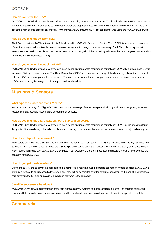### **XOCEAN**

### **How do you steer the USV?**

An XOCEAN USV Pilot in a control room defines a route consisting of a series of waypoints. This is uploaded to the USV over a satellite link. Once satisfied that it is safe to do so, the Pilot engages the proprietary autopilot and the USV tracks the selected route. The USV tracks to a high degree of precision, typically +/-0.6 metres. At any time, the USV Pilot can alter course using the XOCEAN CyberDeck.

### **How do you manage collision risk?**

The USV is monitored 24/7 by a team of USV Pilots located in XOCEAN's Operations Centre. The USV Pilots receive a constant stream of real time images and situational awareness data allowing them to change course as necessary. The USV is also equipped with several features making it visible to other marine users including navigation lights, sound signals, an active radar target enhancer and an Automatic Identification System (AIS).

### **How do you monitor & control the USV?**

XOCEAN's CyberDeck provides a highly secure cloud-based environment to monitor and control each USV. While at sea, each USV is monitored 24/7 by a human operator. The CyberDeck allows XOCEAN to monitor the quality of the data being collected and to adjust both the USV and sensor parameters as required. Through our mobile application, we provide customers real-time view access of the USV at sea including live images, position reports and weather data.

## **Missions & Sensors**

### **What type of sensors can the USV carry?**

With a payload capacity of 100kg, XOCEAN USVs can carry a range of sensor equipment including multibeam bathymetry, fisheries research sonars, acoustic modems and environmental sensors.

### **How do you manage data quality without a surveyor on board?**

XOCEAN's CyberDeck provides a highly secure cloud-based environment to monitor and control each USV. This includes monitoring the quality of the data being collected in real time and providing an environment where sensor parameters can be adjusted as required.

### **How does a typical mission work?**

Transport to site is via road trailer (or shipping container) facilitating fast mobilisation. The USV is designed to be slipway launched from its road trailer or crane lift. Once launched the USV is typically escorted out of the harbour environment by a safety boat. Once in clear water, control is handed over to XOCEAN's USV Pilots in our Operations Centre. Throughout the mission, the USV Pilots oversee the operation of the USV 24/7.

### **How do you get the data ashore?**

During the survey, the quality of the data collected is monitored in real time over the satellite connection. Where applicable, XOCEAN's strategy is for data to be processed offshore with only results files transmitted over the satellite connection. At the end of the mission, a hard drive with the full mission data is removed and delivered to the customer.

### **Can different sensors be added?**

XOCEAN's USVs allow rapid integration of multiple standard survey systems to meet client requirements. The onboard computing power facilitates installation of acquisition software and the satellite data connection allows that software to be operated remotely.

## **Commercial**